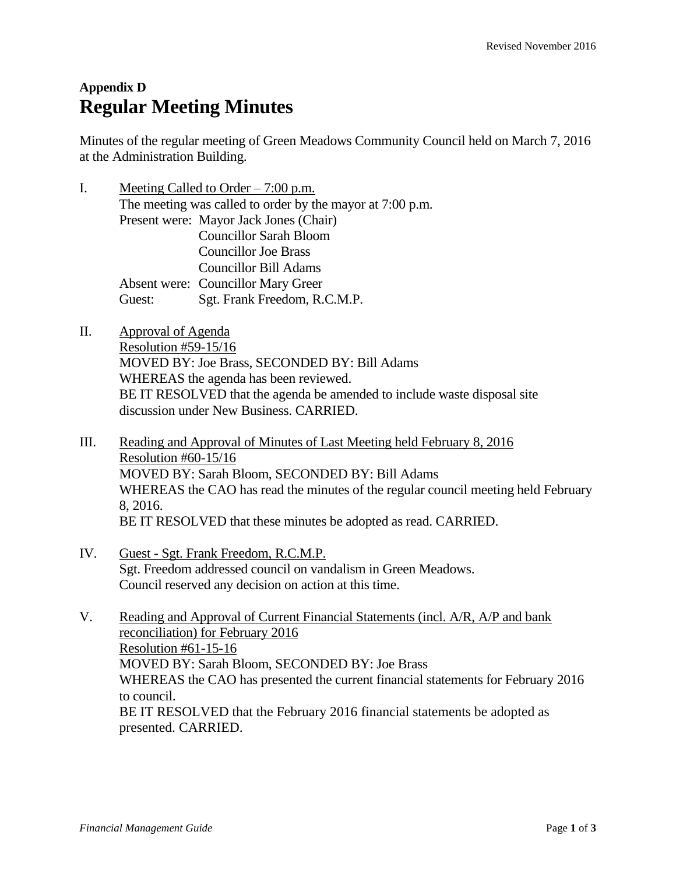## **Appendix D Regular Meeting Minutes**

Minutes of the regular meeting of Green Meadows Community Council held on March 7, 2016 at the Administration Building.

- I. Meeting Called to Order 7:00 p.m. The meeting was called to order by the mayor at 7:00 p.m. Present were: Mayor Jack Jones (Chair) Councillor Sarah Bloom Councillor Joe Brass Councillor Bill Adams Absent were: Councillor Mary Greer Guest: Sgt. Frank Freedom, R.C.M.P.
- II. Approval of Agenda Resolution #59-15/16 MOVED BY: Joe Brass, SECONDED BY: Bill Adams WHEREAS the agenda has been reviewed. BE IT RESOLVED that the agenda be amended to include waste disposal site discussion under New Business. CARRIED.
- III. Reading and Approval of Minutes of Last Meeting held February 8, 2016 Resolution #60-15/16 MOVED BY: Sarah Bloom, SECONDED BY: Bill Adams WHEREAS the CAO has read the minutes of the regular council meeting held February 8, 2016. BE IT RESOLVED that these minutes be adopted as read. CARRIED.
- IV. Guest Sgt. Frank Freedom, R.C.M.P. Sgt. Freedom addressed council on vandalism in Green Meadows. Council reserved any decision on action at this time.
- V. Reading and Approval of Current Financial Statements (incl. A/R, A/P and bank reconciliation) for February 2016 Resolution #61-15-16 MOVED BY: Sarah Bloom, SECONDED BY: Joe Brass WHEREAS the CAO has presented the current financial statements for February 2016 to council. BE IT RESOLVED that the February 2016 financial statements be adopted as presented. CARRIED.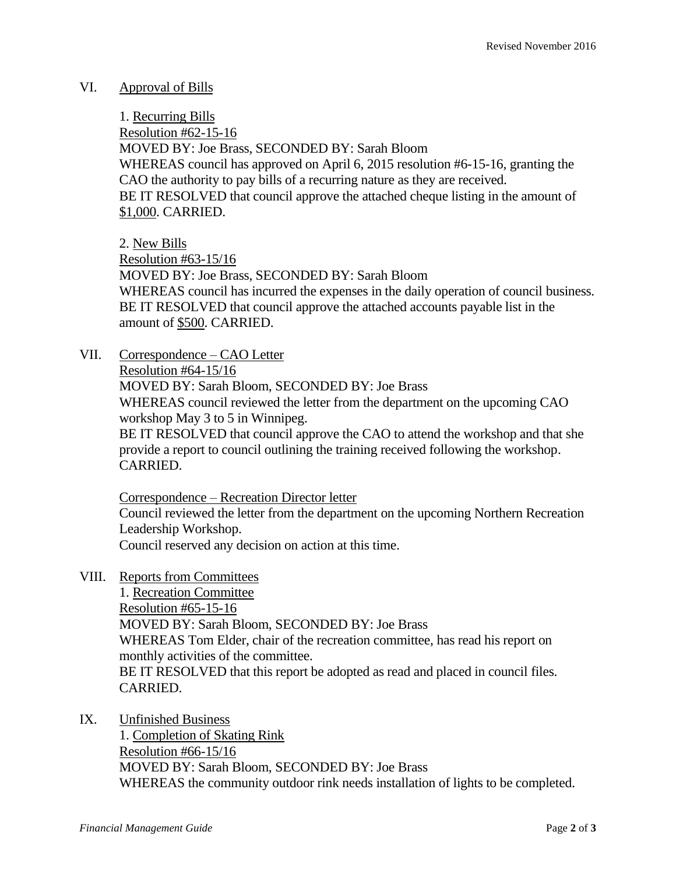## VI. Approval of Bills

1. Recurring Bills Resolution #62-15-16 MOVED BY: Joe Brass, SECONDED BY: Sarah Bloom WHEREAS council has approved on April 6, 2015 resolution #6-15-16, granting the CAO the authority to pay bills of a recurring nature as they are received. BE IT RESOLVED that council approve the attached cheque listing in the amount of \$1,000. CARRIED.

2. New Bills

Resolution #63-15/16

MOVED BY: Joe Brass, SECONDED BY: Sarah Bloom WHEREAS council has incurred the expenses in the daily operation of council business. BE IT RESOLVED that council approve the attached accounts payable list in the amount of \$500. CARRIED.

VII. Correspondence – CAO Letter

Resolution #64-15/16

MOVED BY: Sarah Bloom, SECONDED BY: Joe Brass

WHEREAS council reviewed the letter from the department on the upcoming CAO workshop May 3 to 5 in Winnipeg.

BE IT RESOLVED that council approve the CAO to attend the workshop and that she provide a report to council outlining the training received following the workshop. CARRIED.

Correspondence – Recreation Director letter

Council reviewed the letter from the department on the upcoming Northern Recreation Leadership Workshop.

Council reserved any decision on action at this time.

VIII. Reports from Committees

1. Recreation Committee Resolution #65-15-16 MOVED BY: Sarah Bloom, SECONDED BY: Joe Brass WHEREAS Tom Elder, chair of the recreation committee, has read his report on monthly activities of the committee. BE IT RESOLVED that this report be adopted as read and placed in council files. CARRIED.

IX. Unfinished Business

1. Completion of Skating Rink Resolution #66-15/16 MOVED BY: Sarah Bloom, SECONDED BY: Joe Brass WHEREAS the community outdoor rink needs installation of lights to be completed.